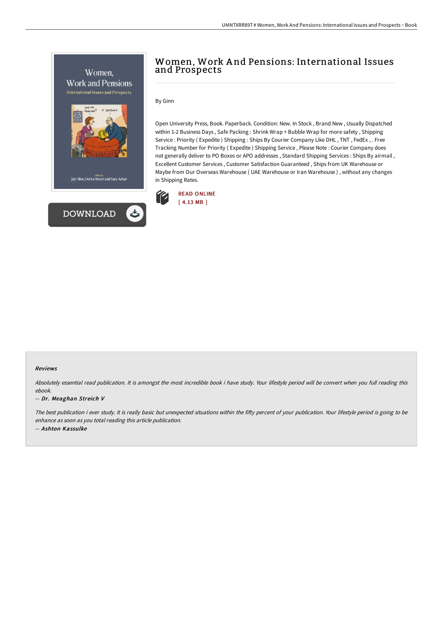

# Women, Work A nd Pensions: International Issues and Prospects

By Ginn

Open University Press, Book. Paperback. Condition: New. In Stock , Brand New , Usually Dispatched within 1-2 Business Days , Safe Packing : Shrink Wrap + Bubble Wrap for more safety , Shipping Service : Priority ( Expedite ) Shipping : Ships By Courier Company Like DHL , TNT , FedEx , . Free Tracking Number for Priority ( Expedite ) Shipping Service , Please Note : Courier Company does not generally deliver to PO Boxes or APO addresses , Standard Shipping Services : Ships By airmail , Excellent Customer Services , Customer Satisfaction Guaranteed , Ships from UK Warehouse or Maybe from Our Overseas Warehouse ( UAE Warehouse or Iran Warehouse ) , without any changes in Shipping Rates.



#### Reviews

Absolutely essential read publication. It is amongst the most incredible book i have study. Your lifestyle period will be convert when you full reading this ebook.

#### -- Dr. Meaghan Streich V

The best publication i ever study. It is really basic but unexpected situations within the fifty percent of your publication. Your lifestyle period is going to be enhance as soon as you total reading this article publication. -- Ashton Kassulke